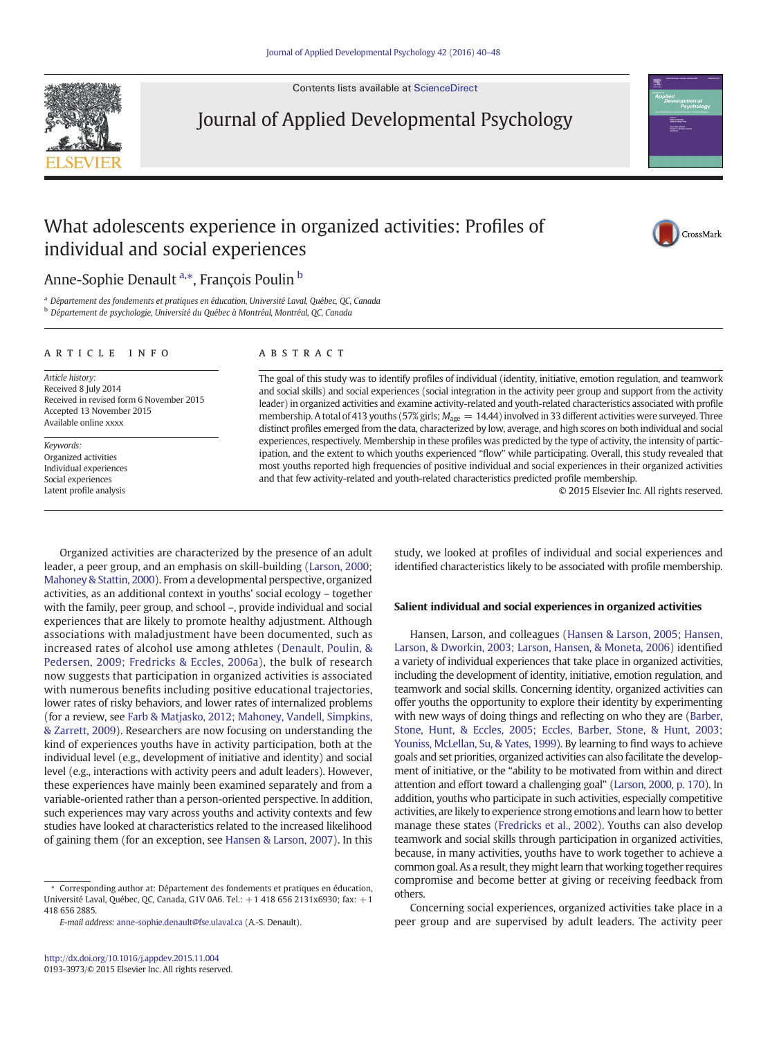Contents lists available at [ScienceDirect](http://www.sciencedirect.com/science/journal/01933973)



Journal of Applied Developmental Psychology

# What adolescents experience in organized activities: Profiles of individual and social experiences





## Anne-Sophie Denault <sup>a,\*</sup>, François Poulin <sup>b</sup>

a Département des fondements et pratiques en éducation, Université Laval, Québec, QC, Canada <sup>b</sup> Département de psychologie, Université du Québec à Montréal, Montréal, QC, Canada

#### article info abstract

Article history: Received 8 July 2014 Received in revised form 6 November 2015 Accepted 13 November 2015 Available online xxxx

Keywords: Organized activities Individual experiences Social experiences Latent profile analysis

The goal of this study was to identify profiles of individual (identity, initiative, emotion regulation, and teamwork and social skills) and social experiences (social integration in the activity peer group and support from the activity leader) in organized activities and examine activity-related and youth-related characteristics associated with profile membership. A total of 413 youths (57% girls;  $M_{\text{age}} = 14.44$ ) involved in 33 different activities were surveyed. Three distinct profiles emerged from the data, characterized by low, average, and high scores on both individual and social experiences, respectively. Membership in these profiles was predicted by the type of activity, the intensity of participation, and the extent to which youths experienced "flow" while participating. Overall, this study revealed that most youths reported high frequencies of positive individual and social experiences in their organized activities and that few activity-related and youth-related characteristics predicted profile membership.

© 2015 Elsevier Inc. All rights reserved.

Organized activities are characterized by the presence of an adult leader, a peer group, and an emphasis on skill-building [\(Larson, 2000;](#page-8-0) [Mahoney & Stattin, 2000](#page-8-0)). From a developmental perspective, organized activities, as an additional context in youths' social ecology – together with the family, peer group, and school –, provide individual and social experiences that are likely to promote healthy adjustment. Although associations with maladjustment have been documented, such as increased rates of alcohol use among athletes [\(Denault, Poulin, &](#page-7-0) [Pedersen, 2009; Fredricks & Eccles, 2006a\)](#page-7-0), the bulk of research now suggests that participation in organized activities is associated with numerous benefits including positive educational trajectories, lower rates of risky behaviors, and lower rates of internalized problems (for a review, see [Farb & Matjasko, 2012; Mahoney, Vandell, Simpkins,](#page-7-0) [& Zarrett, 2009\)](#page-7-0). Researchers are now focusing on understanding the kind of experiences youths have in activity participation, both at the individual level (e.g., development of initiative and identity) and social level (e.g., interactions with activity peers and adult leaders). However, these experiences have mainly been examined separately and from a variable-oriented rather than a person-oriented perspective. In addition, such experiences may vary across youths and activity contexts and few studies have looked at characteristics related to the increased likelihood of gaining them (for an exception, see [Hansen & Larson, 2007\)](#page-8-0). In this

⁎ Corresponding author at: Département des fondements et pratiques en éducation, Université Laval, Québec, QC, Canada, G1V 0A6. Tel.: +1 418 656 2131x6930; fax: +1 418 656 2885.

study, we looked at profiles of individual and social experiences and identified characteristics likely to be associated with profile membership.

#### Salient individual and social experiences in organized activities

Hansen, Larson, and colleagues ([Hansen & Larson, 2005; Hansen,](#page-8-0) [Larson, & Dworkin, 2003; Larson, Hansen, & Moneta, 2006](#page-8-0)) identified a variety of individual experiences that take place in organized activities, including the development of identity, initiative, emotion regulation, and teamwork and social skills. Concerning identity, organized activities can offer youths the opportunity to explore their identity by experimenting with new ways of doing things and reflecting on who they are ([Barber,](#page-7-0) [Stone, Hunt, & Eccles, 2005; Eccles, Barber, Stone, & Hunt, 2003;](#page-7-0) [Youniss, McLellan, Su, & Yates, 1999](#page-7-0)). By learning to find ways to achieve goals and set priorities, organized activities can also facilitate the development of initiative, or the "ability to be motivated from within and direct attention and effort toward a challenging goal" ([Larson, 2000, p. 170\)](#page-8-0). In addition, youths who participate in such activities, especially competitive activities, are likely to experience strong emotions and learn how to better manage these states [\(Fredricks et al., 2002\)](#page-7-0). Youths can also develop teamwork and social skills through participation in organized activities, because, in many activities, youths have to work together to achieve a common goal. As a result, they might learn that working together requires compromise and become better at giving or receiving feedback from others.

Concerning social experiences, organized activities take place in a peer group and are supervised by adult leaders. The activity peer

E-mail address: [anne-sophie.denault@fse.ulaval.ca](mailto:anne-ophie.denault@fse.ulaval.ca) (A.-S. Denault).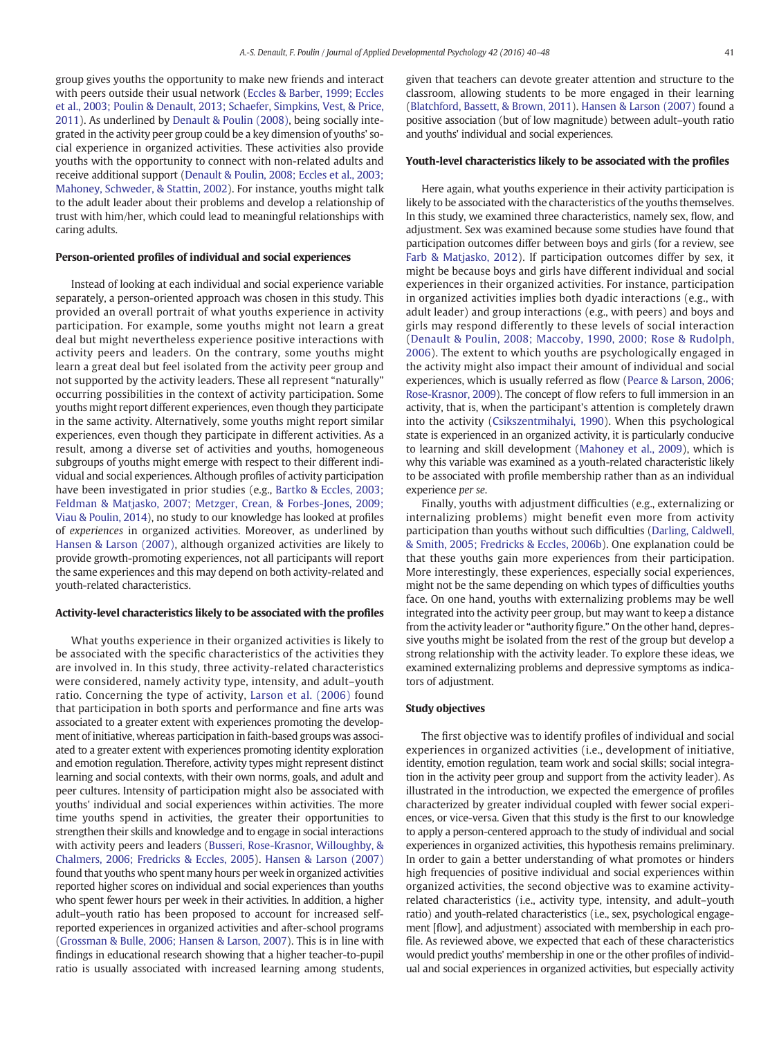group gives youths the opportunity to make new friends and interact with peers outside their usual network [\(Eccles & Barber, 1999; Eccles](#page-7-0) [et al., 2003; Poulin & Denault, 2013; Schaefer, Simpkins, Vest, & Price,](#page-7-0) [2011\)](#page-7-0). As underlined by [Denault & Poulin \(2008\),](#page-7-0) being socially integrated in the activity peer group could be a key dimension of youths' social experience in organized activities. These activities also provide youths with the opportunity to connect with non-related adults and receive additional support ([Denault & Poulin, 2008; Eccles et al., 2003;](#page-7-0) [Mahoney, Schweder, & Stattin, 2002\)](#page-7-0). For instance, youths might talk to the adult leader about their problems and develop a relationship of trust with him/her, which could lead to meaningful relationships with caring adults.

#### Person-oriented profiles of individual and social experiences

Instead of looking at each individual and social experience variable separately, a person-oriented approach was chosen in this study. This provided an overall portrait of what youths experience in activity participation. For example, some youths might not learn a great deal but might nevertheless experience positive interactions with activity peers and leaders. On the contrary, some youths might learn a great deal but feel isolated from the activity peer group and not supported by the activity leaders. These all represent "naturally" occurring possibilities in the context of activity participation. Some youths might report different experiences, even though they participate in the same activity. Alternatively, some youths might report similar experiences, even though they participate in different activities. As a result, among a diverse set of activities and youths, homogeneous subgroups of youths might emerge with respect to their different individual and social experiences. Although profiles of activity participation have been investigated in prior studies (e.g., [Bartko & Eccles, 2003;](#page-7-0) [Feldman & Matjasko, 2007; Metzger, Crean, & Forbes-Jones, 2009;](#page-7-0) [Viau & Poulin, 2014](#page-7-0)), no study to our knowledge has looked at profiles of experiences in organized activities. Moreover, as underlined by [Hansen & Larson \(2007\),](#page-8-0) although organized activities are likely to provide growth-promoting experiences, not all participants will report the same experiences and this may depend on both activity-related and youth-related characteristics.

#### Activity-level characteristics likely to be associated with the profiles

What youths experience in their organized activities is likely to be associated with the specific characteristics of the activities they are involved in. In this study, three activity-related characteristics were considered, namely activity type, intensity, and adult–youth ratio. Concerning the type of activity, [Larson et al. \(2006\)](#page-8-0) found that participation in both sports and performance and fine arts was associated to a greater extent with experiences promoting the development of initiative, whereas participation in faith-based groups was associated to a greater extent with experiences promoting identity exploration and emotion regulation. Therefore, activity types might represent distinct learning and social contexts, with their own norms, goals, and adult and peer cultures. Intensity of participation might also be associated with youths' individual and social experiences within activities. The more time youths spend in activities, the greater their opportunities to strengthen their skills and knowledge and to engage in social interactions with activity peers and leaders ([Busseri, Rose-Krasnor, Willoughby, &](#page-7-0) [Chalmers, 2006; Fredricks & Eccles, 2005](#page-7-0)). [Hansen & Larson \(2007\)](#page-8-0) found that youths who spent many hours per week in organized activities reported higher scores on individual and social experiences than youths who spent fewer hours per week in their activities. In addition, a higher adult–youth ratio has been proposed to account for increased selfreported experiences in organized activities and after-school programs [\(Grossman & Bulle, 2006; Hansen & Larson, 2007](#page-8-0)). This is in line with findings in educational research showing that a higher teacher-to-pupil ratio is usually associated with increased learning among students, given that teachers can devote greater attention and structure to the classroom, allowing students to be more engaged in their learning [\(Blatchford, Bassett, & Brown, 2011](#page-7-0)). [Hansen & Larson \(2007\)](#page-8-0) found a positive association (but of low magnitude) between adult–youth ratio and youths' individual and social experiences.

#### Youth-level characteristics likely to be associated with the profiles

Here again, what youths experience in their activity participation is likely to be associated with the characteristics of the youths themselves. In this study, we examined three characteristics, namely sex, flow, and adjustment. Sex was examined because some studies have found that participation outcomes differ between boys and girls (for a review, see [Farb & Matjasko, 2012](#page-7-0)). If participation outcomes differ by sex, it might be because boys and girls have different individual and social experiences in their organized activities. For instance, participation in organized activities implies both dyadic interactions (e.g., with adult leader) and group interactions (e.g., with peers) and boys and girls may respond differently to these levels of social interaction [\(Denault & Poulin, 2008; Maccoby, 1990, 2000; Rose & Rudolph,](#page-7-0) [2006\)](#page-7-0). The extent to which youths are psychologically engaged in the activity might also impact their amount of individual and social experiences, which is usually referred as flow ([Pearce & Larson, 2006;](#page-8-0) [Rose-Krasnor, 2009](#page-8-0)). The concept of flow refers to full immersion in an activity, that is, when the participant's attention is completely drawn into the activity ([Csikszentmihalyi, 1990\)](#page-7-0). When this psychological state is experienced in an organized activity, it is particularly conducive to learning and skill development [\(Mahoney et al., 2009\)](#page-8-0), which is why this variable was examined as a youth-related characteristic likely to be associated with profile membership rather than as an individual experience per se.

Finally, youths with adjustment difficulties (e.g., externalizing or internalizing problems) might benefit even more from activity participation than youths without such difficulties ([Darling, Caldwell,](#page-7-0) [& Smith, 2005; Fredricks & Eccles, 2006b](#page-7-0)). One explanation could be that these youths gain more experiences from their participation. More interestingly, these experiences, especially social experiences, might not be the same depending on which types of difficulties youths face. On one hand, youths with externalizing problems may be well integrated into the activity peer group, but may want to keep a distance from the activity leader or "authority figure." On the other hand, depressive youths might be isolated from the rest of the group but develop a strong relationship with the activity leader. To explore these ideas, we examined externalizing problems and depressive symptoms as indicators of adjustment.

#### Study objectives

The first objective was to identify profiles of individual and social experiences in organized activities (i.e., development of initiative, identity, emotion regulation, team work and social skills; social integration in the activity peer group and support from the activity leader). As illustrated in the introduction, we expected the emergence of profiles characterized by greater individual coupled with fewer social experiences, or vice-versa. Given that this study is the first to our knowledge to apply a person-centered approach to the study of individual and social experiences in organized activities, this hypothesis remains preliminary. In order to gain a better understanding of what promotes or hinders high frequencies of positive individual and social experiences within organized activities, the second objective was to examine activityrelated characteristics (i.e., activity type, intensity, and adult–youth ratio) and youth-related characteristics (i.e., sex, psychological engagement [flow], and adjustment) associated with membership in each profile. As reviewed above, we expected that each of these characteristics would predict youths' membership in one or the other profiles of individual and social experiences in organized activities, but especially activity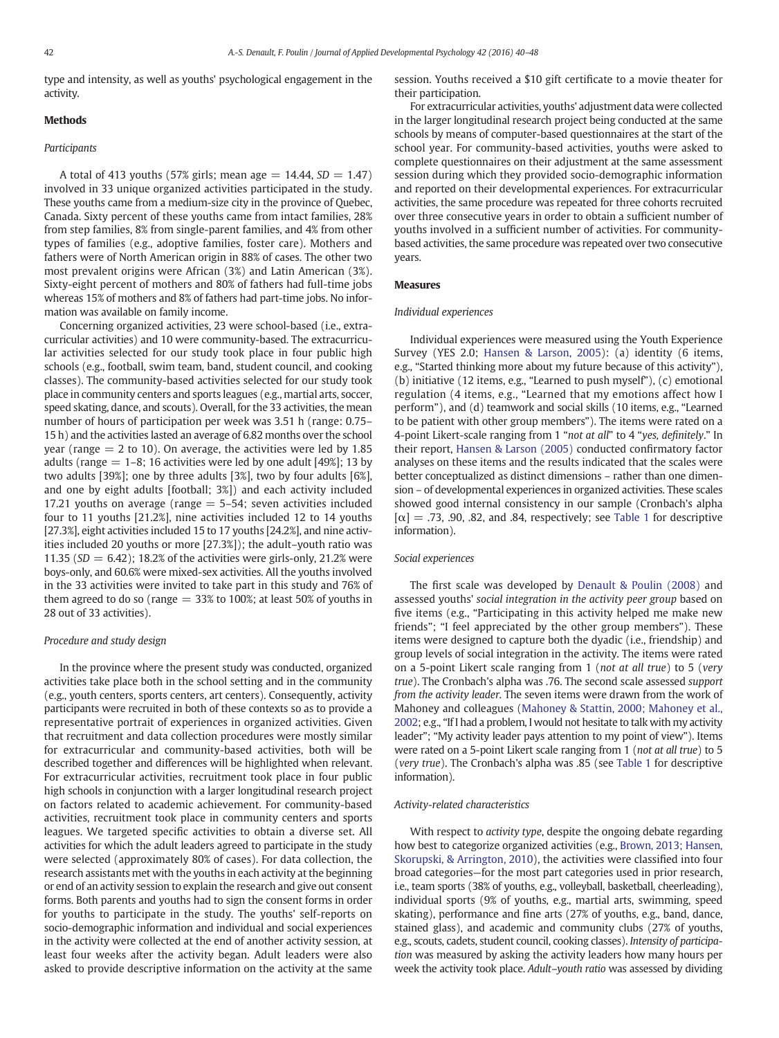type and intensity, as well as youths' psychological engagement in the activity.

#### Methods

#### **Participants**

A total of 413 youths (57% girls; mean age  $= 14.44$ ,  $SD = 1.47$ ) involved in 33 unique organized activities participated in the study. These youths came from a medium-size city in the province of Quebec, Canada. Sixty percent of these youths came from intact families, 28% from step families, 8% from single-parent families, and 4% from other types of families (e.g., adoptive families, foster care). Mothers and fathers were of North American origin in 88% of cases. The other two most prevalent origins were African (3%) and Latin American (3%). Sixty-eight percent of mothers and 80% of fathers had full-time jobs whereas 15% of mothers and 8% of fathers had part-time jobs. No information was available on family income.

Concerning organized activities, 23 were school-based (i.e., extracurricular activities) and 10 were community-based. The extracurricular activities selected for our study took place in four public high schools (e.g., football, swim team, band, student council, and cooking classes). The community-based activities selected for our study took place in community centers and sports leagues (e.g., martial arts, soccer, speed skating, dance, and scouts). Overall, for the 33 activities, the mean number of hours of participation per week was 3.51 h (range: 0.75– 15 h) and the activities lasted an average of 6.82 months over the school year (range  $= 2$  to 10). On average, the activities were led by 1.85 adults (range  $= 1-8$ ; 16 activities were led by one adult [49%]; 13 by two adults [39%]; one by three adults [3%], two by four adults [6%], and one by eight adults [football; 3%]) and each activity included 17.21 youths on average (range  $=$  5–54; seven activities included four to 11 youths [21.2%], nine activities included 12 to 14 youths [27.3%], eight activities included 15 to 17 youths [24.2%], and nine activities included 20 youths or more [27.3%]); the adult–youth ratio was 11.35 ( $SD = 6.42$ ); 18.2% of the activities were girls-only, 21.2% were boys-only, and 60.6% were mixed-sex activities. All the youths involved in the 33 activities were invited to take part in this study and 76% of them agreed to do so (range  $=$  33% to 100%; at least 50% of youths in 28 out of 33 activities).

#### Procedure and study design

In the province where the present study was conducted, organized activities take place both in the school setting and in the community (e.g., youth centers, sports centers, art centers). Consequently, activity participants were recruited in both of these contexts so as to provide a representative portrait of experiences in organized activities. Given that recruitment and data collection procedures were mostly similar for extracurricular and community-based activities, both will be described together and differences will be highlighted when relevant. For extracurricular activities, recruitment took place in four public high schools in conjunction with a larger longitudinal research project on factors related to academic achievement. For community-based activities, recruitment took place in community centers and sports leagues. We targeted specific activities to obtain a diverse set. All activities for which the adult leaders agreed to participate in the study were selected (approximately 80% of cases). For data collection, the research assistants met with the youths in each activity at the beginning or end of an activity session to explain the research and give out consent forms. Both parents and youths had to sign the consent forms in order for youths to participate in the study. The youths' self-reports on socio-demographic information and individual and social experiences in the activity were collected at the end of another activity session, at least four weeks after the activity began. Adult leaders were also asked to provide descriptive information on the activity at the same session. Youths received a \$10 gift certificate to a movie theater for their participation.

For extracurricular activities, youths' adjustment data were collected in the larger longitudinal research project being conducted at the same schools by means of computer-based questionnaires at the start of the school year. For community-based activities, youths were asked to complete questionnaires on their adjustment at the same assessment session during which they provided socio-demographic information and reported on their developmental experiences. For extracurricular activities, the same procedure was repeated for three cohorts recruited over three consecutive years in order to obtain a sufficient number of youths involved in a sufficient number of activities. For communitybased activities, the same procedure was repeated over two consecutive years.

#### Measures

#### Individual experiences

Individual experiences were measured using the Youth Experience Survey (YES 2.0; [Hansen & Larson, 2005\)](#page-8-0): (a) identity (6 items, e.g., "Started thinking more about my future because of this activity"), (b) initiative (12 items, e.g., "Learned to push myself"), (c) emotional regulation (4 items, e.g., "Learned that my emotions affect how I perform"), and (d) teamwork and social skills (10 items, e.g., "Learned to be patient with other group members"). The items were rated on a 4-point Likert-scale ranging from 1 "not at all" to 4 "yes, definitely." In their report, [Hansen & Larson \(2005\)](#page-8-0) conducted confirmatory factor analyses on these items and the results indicated that the scales were better conceptualized as distinct dimensions – rather than one dimension – of developmental experiences in organized activities. These scales showed good internal consistency in our sample (Cronbach's alpha  $[\alpha] = .73, .90, .82,$  and .84, respectively; see [Table 1](#page-3-0) for descriptive information).

#### Social experiences

The first scale was developed by [Denault & Poulin \(2008\)](#page-7-0) and assessed youths' social integration in the activity peer group based on five items (e.g., "Participating in this activity helped me make new friends"; "I feel appreciated by the other group members"). These items were designed to capture both the dyadic (i.e., friendship) and group levels of social integration in the activity. The items were rated on a 5-point Likert scale ranging from 1 (not at all true) to 5 (very true). The Cronbach's alpha was .76. The second scale assessed support from the activity leader. The seven items were drawn from the work of Mahoney and colleagues ([Mahoney & Stattin, 2000; Mahoney et al.,](#page-8-0) [2002;](#page-8-0) e.g., "If I had a problem, I would not hesitate to talk with my activity leader"; "My activity leader pays attention to my point of view"). Items were rated on a 5-point Likert scale ranging from 1 (not at all true) to 5 (very true). The Cronbach's alpha was .85 (see [Table 1](#page-3-0) for descriptive information).

#### Activity-related characteristics

With respect to activity type, despite the ongoing debate regarding how best to categorize organized activities (e.g., [Brown, 2013; Hansen,](#page-7-0) [Skorupski, & Arrington, 2010\)](#page-7-0), the activities were classified into four broad categories—for the most part categories used in prior research, i.e., team sports (38% of youths, e.g., volleyball, basketball, cheerleading), individual sports (9% of youths, e.g., martial arts, swimming, speed skating), performance and fine arts (27% of youths, e.g., band, dance, stained glass), and academic and community clubs (27% of youths, e.g., scouts, cadets, student council, cooking classes). Intensity of participation was measured by asking the activity leaders how many hours per week the activity took place. Adult–youth ratio was assessed by dividing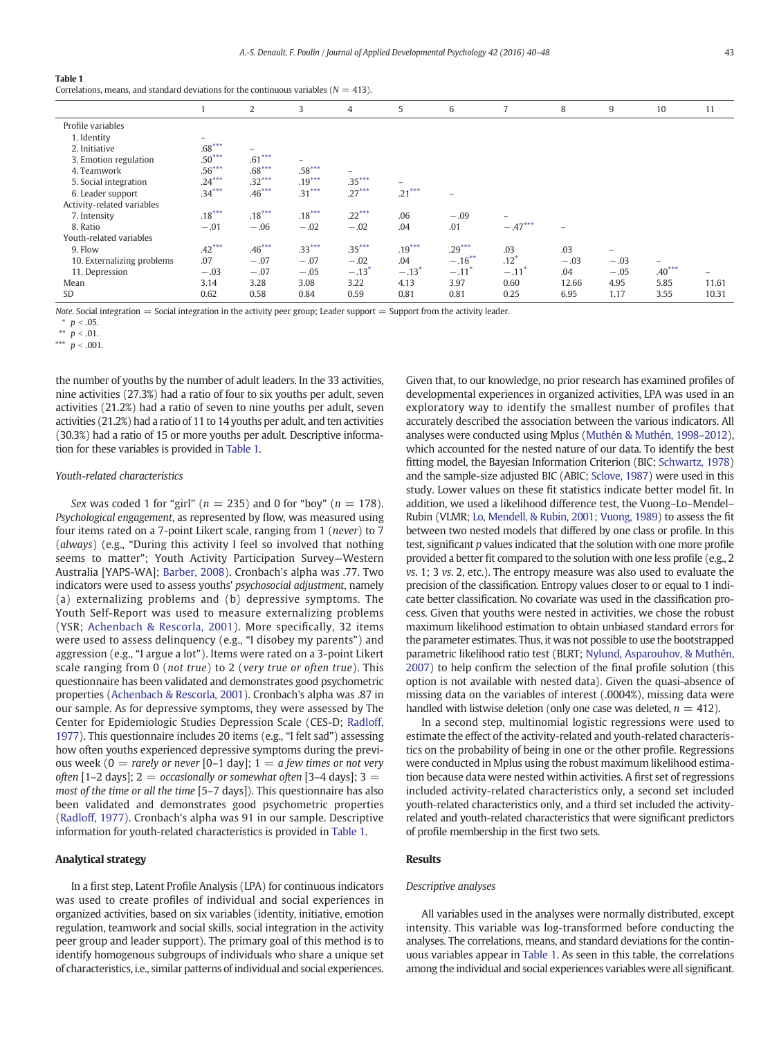#### <span id="page-3-0"></span>Table 1

Correlations, means, and standard deviations for the continuous variables ( $N = 413$ ).

|                            |          | 2        | 3        | 4                        | 5        | 6                 | 7         | 8                        | 9                        | 10       | 11    |
|----------------------------|----------|----------|----------|--------------------------|----------|-------------------|-----------|--------------------------|--------------------------|----------|-------|
| Profile variables          |          |          |          |                          |          |                   |           |                          |                          |          |       |
| 1. Identity                | $-$      |          |          |                          |          |                   |           |                          |                          |          |       |
| 2. Initiative              | $.68***$ |          |          |                          |          |                   |           |                          |                          |          |       |
| 3. Emotion regulation      | $.50***$ | $.61***$ | $\equiv$ |                          |          |                   |           |                          |                          |          |       |
| 4. Teamwork                | $.56***$ | $.68***$ | $.58***$ | $\overline{\phantom{0}}$ |          |                   |           |                          |                          |          |       |
| 5. Social integration      | $.24***$ | $.32***$ | $.19***$ | $.35***$                 |          |                   |           |                          |                          |          |       |
| 6. Leader support          | $.34***$ | $.46***$ | $.31***$ | $.27***$                 | $.21***$ | $\qquad \qquad -$ |           |                          |                          |          |       |
| Activity-related variables |          |          |          |                          |          |                   |           |                          |                          |          |       |
| 7. Intensity               | $.18***$ | $.18***$ | $.18***$ | $.22***$                 | .06      | $-.09$            |           |                          |                          |          |       |
| 8. Ratio                   | $-.01$   | $-.06$   | $-.02$   | $-.02$                   | .04      | .01               | $-.47***$ | $\overline{\phantom{0}}$ |                          |          |       |
| Youth-related variables    |          |          |          |                          |          |                   |           |                          |                          |          |       |
| 9. Flow                    | $.42***$ | $.46***$ | $.33***$ | $.35***$                 | $.19***$ | $.29***$          | .03       | .03                      | $\overline{\phantom{0}}$ |          |       |
| 10. Externalizing problems | .07      | $-.07$   | $-.07$   | $-.02$                   | .04      | $-.16***$         | $.12*$    | $-.03$                   | $-.03$                   |          |       |
| 11. Depression             | $-.03$   | $-.07$   | $-.05$   | $-.13*$                  | $-.13*$  | $-.11^*$          | $-.11^*$  | .04                      | $-.05$                   | $.40***$ |       |
| Mean                       | 3.14     | 3.28     | 3.08     | 3.22                     | 4.13     | 3.97              | 0.60      | 12.66                    | 4.95                     | 5.85     | 11.61 |
| <b>SD</b>                  | 0.62     | 0.58     | 0.84     | 0.59                     | 0.81     | 0.81              | 0.25      | 6.95                     | 1.17                     | 3.55     | 10.31 |

Note. Social integration  $=$  Social integration in the activity peer group; Leader support  $=$  Support from the activity leader.

\*\*\*  $p < .001$ .

the number of youths by the number of adult leaders. In the 33 activities, nine activities (27.3%) had a ratio of four to six youths per adult, seven activities (21.2%) had a ratio of seven to nine youths per adult, seven activities (21.2%) had a ratio of 11 to 14 youths per adult, and ten activities (30.3%) had a ratio of 15 or more youths per adult. Descriptive information for these variables is provided in Table 1.

#### Youth-related characteristics

Sex was coded 1 for "girl" ( $n = 235$ ) and 0 for "boy" ( $n = 178$ ). Psychological engagement, as represented by flow, was measured using four items rated on a 7-point Likert scale, ranging from 1 (never) to 7 (always) (e.g., "During this activity I feel so involved that nothing seems to matter"; Youth Activity Participation Survey—Western Australia [YAPS-WA]; [Barber, 2008\)](#page-7-0). Cronbach's alpha was .77. Two indicators were used to assess youths' psychosocial adjustment, namely (a) externalizing problems and (b) depressive symptoms. The Youth Self-Report was used to measure externalizing problems (YSR; [Achenbach & Rescorla, 2001\)](#page-7-0). More specifically, 32 items were used to assess delinquency (e.g., "I disobey my parents") and aggression (e.g., "I argue a lot"). Items were rated on a 3-point Likert scale ranging from 0 (not true) to 2 (very true or often true). This questionnaire has been validated and demonstrates good psychometric properties [\(Achenbach & Rescorla, 2001](#page-7-0)). Cronbach's alpha was .87 in our sample. As for depressive symptoms, they were assessed by The Center for Epidemiologic Studies Depression Scale (CES-D; [Radloff,](#page-8-0) [1977](#page-8-0)). This questionnaire includes 20 items (e.g., "I felt sad") assessing how often youths experienced depressive symptoms during the previous week (0 = rarely or never [0-1 day]; 1 = a few times or not very often [1-2 days]; 2 = occasionally or somewhat often [3-4 days]; 3 = most of the time or all the time [5–7 days]). This questionnaire has also been validated and demonstrates good psychometric properties [\(Radloff, 1977\)](#page-8-0). Cronbach's alpha was 91 in our sample. Descriptive information for youth-related characteristics is provided in Table 1.

#### Analytical strategy

In a first step, Latent Profile Analysis (LPA) for continuous indicators was used to create profiles of individual and social experiences in organized activities, based on six variables (identity, initiative, emotion regulation, teamwork and social skills, social integration in the activity peer group and leader support). The primary goal of this method is to identify homogenous subgroups of individuals who share a unique set of characteristics, i.e., similar patterns of individual and social experiences. Given that, to our knowledge, no prior research has examined profiles of developmental experiences in organized activities, LPA was used in an exploratory way to identify the smallest number of profiles that accurately described the association between the various indicators. All analyses were conducted using Mplus [\(Muthén & Muthén, 1998](#page-8-0)–2012), which accounted for the nested nature of our data. To identify the best fitting model, the Bayesian Information Criterion (BIC; [Schwartz, 1978](#page-8-0)) and the sample-size adjusted BIC (ABIC; [Sclove, 1987\)](#page-8-0) were used in this study. Lower values on these fit statistics indicate better model fit. In addition, we used a likelihood difference test, the Vuong–Lo–Mendel– Rubin (VLMR; [Lo, Mendell, & Rubin, 2001; Vuong, 1989\)](#page-8-0) to assess the fit between two nested models that differed by one class or profile. In this test, significant  $p$  values indicated that the solution with one more profile provided a better fit compared to the solution with one less profile (e.g., 2 vs. 1; 3 vs. 2, etc.). The entropy measure was also used to evaluate the precision of the classification. Entropy values closer to or equal to 1 indicate better classification. No covariate was used in the classification process. Given that youths were nested in activities, we chose the robust maximum likelihood estimation to obtain unbiased standard errors for the parameter estimates. Thus, it was not possible to use the bootstrapped parametric likelihood ratio test (BLRT; [Nylund, Asparouhov, & Muthén,](#page-8-0) [2007\)](#page-8-0) to help confirm the selection of the final profile solution (this option is not available with nested data). Given the quasi-absence of missing data on the variables of interest (.0004%), missing data were handled with listwise deletion (only one case was deleted,  $n = 412$ ).

In a second step, multinomial logistic regressions were used to estimate the effect of the activity-related and youth-related characteristics on the probability of being in one or the other profile. Regressions were conducted in Mplus using the robust maximum likelihood estimation because data were nested within activities. A first set of regressions included activity-related characteristics only, a second set included youth-related characteristics only, and a third set included the activityrelated and youth-related characteristics that were significant predictors of profile membership in the first two sets.

#### Results

#### Descriptive analyses

All variables used in the analyses were normally distributed, except intensity. This variable was log-transformed before conducting the analyses. The correlations, means, and standard deviations for the continuous variables appear in Table 1. As seen in this table, the correlations among the individual and social experiences variables were all significant.

 $p < .05$ .

<sup>\*\*</sup>  $p < .01$ .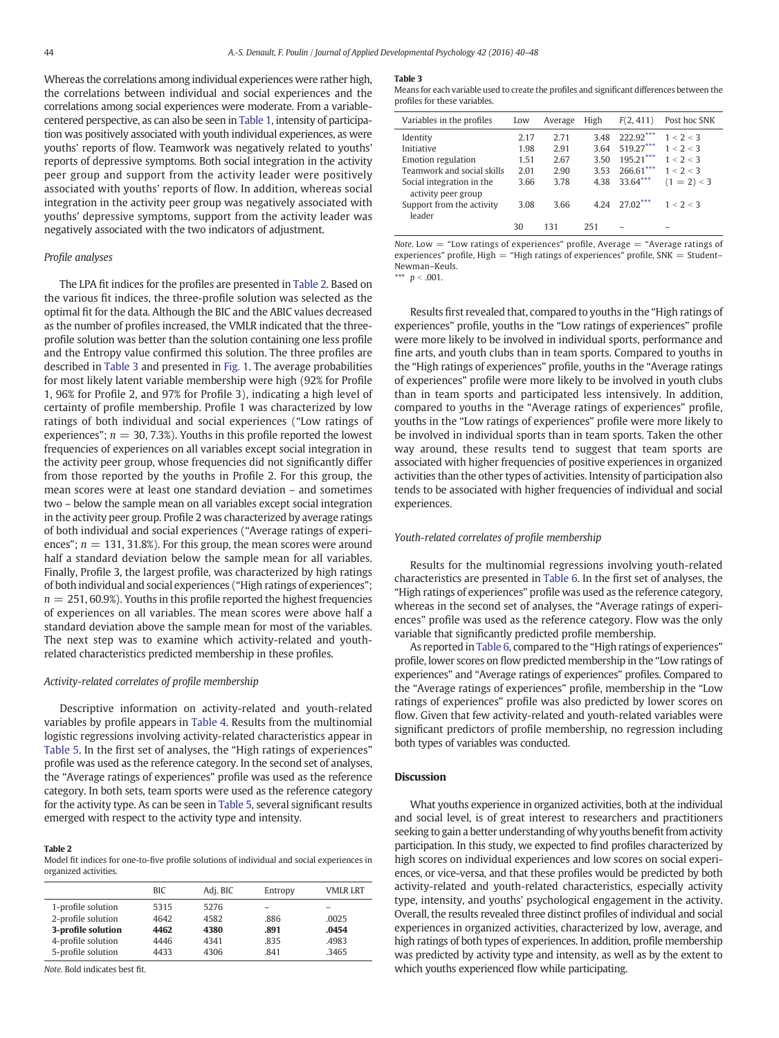Whereas the correlations among individual experiences were rather high, the correlations between individual and social experiences and the correlations among social experiences were moderate. From a variablecentered perspective, as can also be seen in [Table 1](#page-3-0), intensity of participation was positively associated with youth individual experiences, as were youths' reports of flow. Teamwork was negatively related to youths' reports of depressive symptoms. Both social integration in the activity peer group and support from the activity leader were positively associated with youths' reports of flow. In addition, whereas social integration in the activity peer group was negatively associated with youths' depressive symptoms, support from the activity leader was negatively associated with the two indicators of adjustment.

### Profile analyses

The LPA fit indices for the profiles are presented in Table 2. Based on the various fit indices, the three-profile solution was selected as the optimal fit for the data. Although the BIC and the ABIC values decreased as the number of profiles increased, the VMLR indicated that the threeprofile solution was better than the solution containing one less profile and the Entropy value confirmed this solution. The three profiles are described in Table 3 and presented in [Fig. 1](#page-5-0). The average probabilities for most likely latent variable membership were high (92% for Profile 1, 96% for Profile 2, and 97% for Profile 3), indicating a high level of certainty of profile membership. Profile 1 was characterized by low ratings of both individual and social experiences ("Low ratings of experiences";  $n = 30, 7.3\%$ ). Youths in this profile reported the lowest frequencies of experiences on all variables except social integration in the activity peer group, whose frequencies did not significantly differ from those reported by the youths in Profile 2. For this group, the mean scores were at least one standard deviation – and sometimes two – below the sample mean on all variables except social integration in the activity peer group. Profile 2 was characterized by average ratings of both individual and social experiences ("Average ratings of experiences";  $n = 131, 31.8\%$ ). For this group, the mean scores were around half a standard deviation below the sample mean for all variables. Finally, Profile 3, the largest profile, was characterized by high ratings of both individual and social experiences ("High ratings of experiences";  $n = 251, 60.9\%$ ). Youths in this profile reported the highest frequencies of experiences on all variables. The mean scores were above half a standard deviation above the sample mean for most of the variables. The next step was to examine which activity-related and youthrelated characteristics predicted membership in these profiles.

#### Activity-related correlates of profile membership

Descriptive information on activity-related and youth-related variables by profile appears in [Table 4.](#page-5-0) Results from the multinomial logistic regressions involving activity-related characteristics appear in [Table 5](#page-5-0). In the first set of analyses, the "High ratings of experiences" profile was used as the reference category. In the second set of analyses, the "Average ratings of experiences" profile was used as the reference category. In both sets, team sports were used as the reference category for the activity type. As can be seen in [Table 5](#page-5-0), several significant results emerged with respect to the activity type and intensity.

#### Table 2

Model fit indices for one-to-five profile solutions of individual and social experiences in organized activities.

|                    | <b>BIC</b> | Adj. BIC | Entropy | <b>VMLR LRT</b> |
|--------------------|------------|----------|---------|-----------------|
| 1-profile solution | 5315       | 5276     |         |                 |
| 2-profile solution | 4642       | 4582     | .886    | .0025           |
| 3-profile solution | 4462       | 4380     | .891    | .0454           |
| 4-profile solution | 4446       | 4341     | .835    | .4983           |
| 5-profile solution | 4433       | 4306     | .841    | .3465           |

Note. Bold indicates best fit.

#### Table 3

Means for each variable used to create the profiles and significant differences between the profiles for these variables.

| Variables in the profiles                        | Low  | Average | High | F(2, 411)   | Post hoc SNK  |
|--------------------------------------------------|------|---------|------|-------------|---------------|
| Identity                                         | 2.17 | 2.71    | 3.48 | $222.92***$ | 1 < 2 < 3     |
| Initiative                                       | 1.98 | 2.91    | 3.64 | $519.27***$ | 1 < 2 < 3     |
| Emotion regulation                               | 1.51 | 2.67    | 3.50 | $195.21***$ | 1 < 2 < 3     |
| Teamwork and social skills                       | 2.01 | 2.90    | 3.53 | $266.61***$ | 1 < 2 < 3     |
| Social integration in the<br>activity peer group | 3.66 | 3.78    | 4.38 | $33.64***$  | $(1 = 2) < 3$ |
| Support from the activity<br>leader              | 3.08 | 3.66    | 4.24 | $27.02***$  | 1 < 2 < 3     |
|                                                  | 30   | 131     | 251  |             |               |

Note. Low  $=$  "Low ratings of experiences" profile, Average  $=$  "Average ratings of experiences" profile, High = "High ratings of experiences" profile,  $SNK = Student-$ Newman–Keuls.

\*\*\*  $p < .001$ .

Results first revealed that, compared to youths in the "High ratings of experiences" profile, youths in the "Low ratings of experiences" profile were more likely to be involved in individual sports, performance and fine arts, and youth clubs than in team sports. Compared to youths in the "High ratings of experiences" profile, youths in the "Average ratings of experiences" profile were more likely to be involved in youth clubs than in team sports and participated less intensively. In addition, compared to youths in the "Average ratings of experiences" profile, youths in the "Low ratings of experiences" profile were more likely to be involved in individual sports than in team sports. Taken the other way around, these results tend to suggest that team sports are associated with higher frequencies of positive experiences in organized activities than the other types of activities. Intensity of participation also tends to be associated with higher frequencies of individual and social experiences.

#### Youth-related correlates of profile membership

Results for the multinomial regressions involving youth-related characteristics are presented in [Table 6.](#page-6-0) In the first set of analyses, the "High ratings of experiences" profile was used as the reference category, whereas in the second set of analyses, the "Average ratings of experiences" profile was used as the reference category. Flow was the only variable that significantly predicted profile membership.

As reported in [Table 6](#page-6-0), compared to the "High ratings of experiences" profile, lower scores on flow predicted membership in the "Low ratings of experiences" and "Average ratings of experiences" profiles. Compared to the "Average ratings of experiences" profile, membership in the "Low ratings of experiences" profile was also predicted by lower scores on flow. Given that few activity-related and youth-related variables were significant predictors of profile membership, no regression including both types of variables was conducted.

#### Discussion

What youths experience in organized activities, both at the individual and social level, is of great interest to researchers and practitioners seeking to gain a better understanding of why youths benefit from activity participation. In this study, we expected to find profiles characterized by high scores on individual experiences and low scores on social experiences, or vice-versa, and that these profiles would be predicted by both activity-related and youth-related characteristics, especially activity type, intensity, and youths' psychological engagement in the activity. Overall, the results revealed three distinct profiles of individual and social experiences in organized activities, characterized by low, average, and high ratings of both types of experiences. In addition, profile membership was predicted by activity type and intensity, as well as by the extent to which youths experienced flow while participating.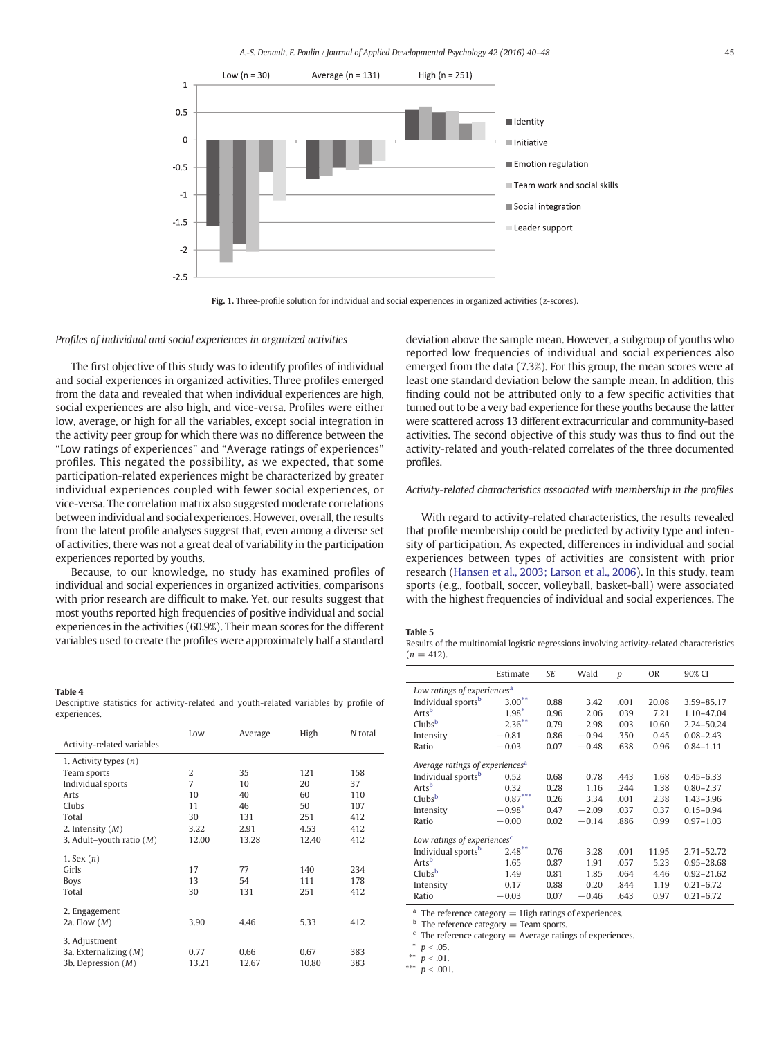<span id="page-5-0"></span>

Fig. 1. Three-profile solution for individual and social experiences in organized activities (z-scores).

#### Profiles of individual and social experiences in organized activities

The first objective of this study was to identify profiles of individual and social experiences in organized activities. Three profiles emerged from the data and revealed that when individual experiences are high, social experiences are also high, and vice-versa. Profiles were either low, average, or high for all the variables, except social integration in the activity peer group for which there was no difference between the "Low ratings of experiences" and "Average ratings of experiences" profiles. This negated the possibility, as we expected, that some participation-related experiences might be characterized by greater individual experiences coupled with fewer social experiences, or vice-versa. The correlation matrix also suggested moderate correlations between individual and social experiences. However, overall, the results from the latent profile analyses suggest that, even among a diverse set of activities, there was not a great deal of variability in the participation experiences reported by youths.

Because, to our knowledge, no study has examined profiles of individual and social experiences in organized activities, comparisons with prior research are difficult to make. Yet, our results suggest that most youths reported high frequencies of positive individual and social experiences in the activities (60.9%). Their mean scores for the different variables used to create the profiles were approximately half a standard

#### Table 4

Descriptive statistics for activity-related and youth-related variables by profile of experiences.

|                                                                           | Low   | Average | High  | N total |
|---------------------------------------------------------------------------|-------|---------|-------|---------|
| Activity-related variables                                                |       |         |       |         |
| 1. Activity types $(n)$                                                   |       |         |       |         |
| Team sports                                                               | 2     | 35      | 121   | 158     |
| Individual sports                                                         | 7     | 10      | 20    | 37      |
| Arts                                                                      | 10    | 40      | 60    | 110     |
| Clubs                                                                     | 11    | 46      | 50    | 107     |
| Total                                                                     | 30    | 131     | 251   | 412     |
| 2. Intensity $(M)$                                                        | 3.22  | 2.91    | 4.53  | 412     |
| 3. Adult-youth ratio $(M)$                                                | 12.00 | 13.28   | 12.40 | 412     |
|                                                                           |       |         |       |         |
| Girls                                                                     | 17    | 77      | 140   | 234     |
| <b>Boys</b>                                                               | 13    | 54      | 111   | 178     |
| Total                                                                     | 30    | 131     | 251   | 412     |
|                                                                           |       |         |       |         |
| 2a. Flow $(M)$                                                            | 3.90  | 4.46    | 5.33  | 412     |
|                                                                           |       |         |       |         |
|                                                                           | 0.77  | 0.66    | 0.67  | 383     |
| 3b. Depression $(M)$                                                      | 13.21 | 12.67   | 10.80 | 383     |
| 1. Sex $(n)$<br>2. Engagement<br>3. Adjustment<br>3a. Externalizing $(M)$ |       |         |       |         |

deviation above the sample mean. However, a subgroup of youths who reported low frequencies of individual and social experiences also emerged from the data (7.3%). For this group, the mean scores were at least one standard deviation below the sample mean. In addition, this finding could not be attributed only to a few specific activities that turned out to be a very bad experience for these youths because the latter were scattered across 13 different extracurricular and community-based activities. The second objective of this study was thus to find out the activity-related and youth-related correlates of the three documented profiles.

#### Activity-related characteristics associated with membership in the profiles

With regard to activity-related characteristics, the results revealed that profile membership could be predicted by activity type and intensity of participation. As expected, differences in individual and social experiences between types of activities are consistent with prior research [\(Hansen et al., 2003; Larson et al., 2006\)](#page-8-0). In this study, team sports (e.g., football, soccer, volleyball, basket-ball) were associated with the highest frequencies of individual and social experiences. The

#### Table 5

Results of the multinomial logistic regressions involving activity-related characteristics  $(n = 412)$ .

|                                             | Estimate  | <b>SE</b> | Wald    | p    | <b>OR</b> | 90% CI         |  |  |  |
|---------------------------------------------|-----------|-----------|---------|------|-----------|----------------|--|--|--|
| Low ratings of experiences <sup>a</sup>     |           |           |         |      |           |                |  |  |  |
| Individual sports <sup>b</sup>              | $3.00***$ | 0.88      | 3.42    | .001 | 20.08     | 3.59-85.17     |  |  |  |
| Artsb                                       | $1.98*$   | 0.96      | 2.06    | .039 | 7.21      | 1.10-47.04     |  |  |  |
| Clubs <sup>b</sup>                          | $2.36***$ | 0.79      | 2.98    | .003 | 10.60     | 2.24-50.24     |  |  |  |
| Intensity                                   | $-0.81$   | 0.86      | $-0.94$ | .350 | 0.45      | $0.08 - 2.43$  |  |  |  |
| Ratio                                       | $-0.03$   | 0.07      | $-0.48$ | .638 | 0.96      | $0.84 - 1.11$  |  |  |  |
| Average ratings of experiences <sup>a</sup> |           |           |         |      |           |                |  |  |  |
| Individual sports <sup>b</sup>              | 0.52      | 0.68      | 0.78    | .443 | 1.68      | $0.45 - 6.33$  |  |  |  |
| Artsb                                       | 0.32      | 0.28      | 1.16    | .244 | 1.38      | $0.80 - 2.37$  |  |  |  |
| Clubs <sup>b</sup>                          | $0.87***$ | 0.26      | 3.34    | .001 | 2.38      | $1.43 - 3.96$  |  |  |  |
| Intensity                                   | $-0.98*$  | 0.47      | $-2.09$ | .037 | 0.37      | $0.15 - 0.94$  |  |  |  |
| Ratio                                       | $-0.00$   | 0.02      | $-0.14$ | .886 | 0.99      | $0.97 - 1.03$  |  |  |  |
| Low ratings of experiences <sup>c</sup>     |           |           |         |      |           |                |  |  |  |
| Individual sports <sup>b</sup>              | $2.48***$ | 0.76      | 3.28    | .001 | 11.95     | $2.71 - 52.72$ |  |  |  |
| Arts <sup>b</sup>                           | 1.65      | 0.87      | 1.91    | .057 | 5.23      | $0.95 - 28.68$ |  |  |  |
| Clubs <sup>b</sup>                          | 1.49      | 0.81      | 1.85    | .064 | 4.46      | $0.92 - 21.62$ |  |  |  |
| Intensity                                   | 0.17      | 0.88      | 0.20    | .844 | 1.19      | $0.21 - 6.72$  |  |  |  |
| Ratio                                       | $-0.03$   | 0.07      | $-0.46$ | .643 | 0.97      | $0.21 - 6.72$  |  |  |  |
|                                             |           |           |         |      |           |                |  |  |  |

 $a$  The reference category = High ratings of experiences.  $<sup>b</sup>$  The reference category = Team sports.</sup>

 $\epsilon$  The reference category = Average ratings of experiences.

 $p < .05$ .

\*\*  $p < .01$ .

\*\*\*  $p < .001$ .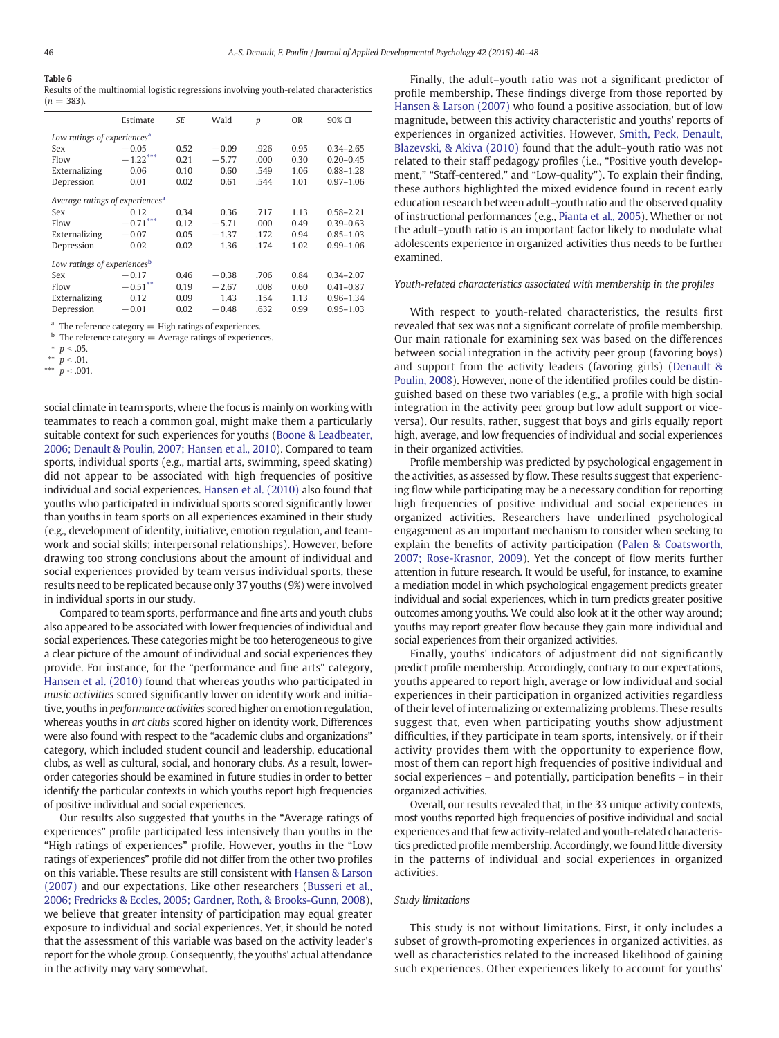#### <span id="page-6-0"></span>Table 6

Results of the multinomial logistic regressions involving youth-related characteristics  $(n = 383)$ .

|                                             | Estimate   | <b>SE</b> | Wald    | p     | <b>OR</b> | 90% CI        |  |  |
|---------------------------------------------|------------|-----------|---------|-------|-----------|---------------|--|--|
| Low ratings of experiences <sup>a</sup>     |            |           |         |       |           |               |  |  |
| Sex                                         | $-0.05$    | 0.52      | $-0.09$ | .926  | 0.95      | $0.34 - 2.65$ |  |  |
| Flow                                        | $-1.22***$ | 0.21      | $-5.77$ | .000. | 0.30      | $0.20 - 0.45$ |  |  |
| Externalizing                               | 0.06       | 0.10      | 0.60    | .549  | 1.06      | 0.88-1.28     |  |  |
| Depression                                  | 0.01       | 0.02      | 0.61    | .544  | 1.01      | $0.97 - 1.06$ |  |  |
| Average ratings of experiences <sup>a</sup> |            |           |         |       |           |               |  |  |
| Sex                                         | 0.12       | 0.34      | 0.36    | .717  | 1.13      | $0.58 - 2.21$ |  |  |
| Flow                                        | $-0.71***$ | 0.12      | $-5.71$ | .000  | 0.49      | $0.39 - 0.63$ |  |  |
| Externalizing                               | $-0.07$    | 0.05      | $-1.37$ | .172  | 0.94      | $0.85 - 1.03$ |  |  |
| Depression                                  | 0.02       | 0.02      | 1.36    | .174  | 1.02      | $0.99 - 1.06$ |  |  |
| Low ratings of experiences <sup>b</sup>     |            |           |         |       |           |               |  |  |
| Sex                                         | $-0.17$    | 0.46      | $-0.38$ | .706  | 0.84      | $0.34 - 2.07$ |  |  |
| Flow                                        | $-0.51***$ | 0.19      | $-2.67$ | .008  | 0.60      | $0.41 - 0.87$ |  |  |
| Externalizing                               | 0.12       | 0.09      | 1.43    | .154  | 1.13      | $0.96 - 1.34$ |  |  |
| Depression                                  | $-0.01$    | 0.02      | $-0.48$ | .632  | 0.99      | $0.95 - 1.03$ |  |  |

 $\frac{a}{b}$  The reference category = High ratings of experiences.

 $<sup>b</sup>$  The reference category = Average ratings of experiences.</sup>

\*  $p < .05$ .

 $p < .01$ .

\*\*\*  $p < .001$ .

social climate in team sports, where the focus is mainly on working with teammates to reach a common goal, might make them a particularly suitable context for such experiences for youths [\(Boone & Leadbeater,](#page-7-0) [2006; Denault & Poulin, 2007; Hansen et al., 2010](#page-7-0)). Compared to team sports, individual sports (e.g., martial arts, swimming, speed skating) did not appear to be associated with high frequencies of positive individual and social experiences. [Hansen et al. \(2010\)](#page-8-0) also found that youths who participated in individual sports scored significantly lower than youths in team sports on all experiences examined in their study (e.g., development of identity, initiative, emotion regulation, and teamwork and social skills; interpersonal relationships). However, before drawing too strong conclusions about the amount of individual and social experiences provided by team versus individual sports, these results need to be replicated because only 37 youths (9%) were involved in individual sports in our study.

Compared to team sports, performance and fine arts and youth clubs also appeared to be associated with lower frequencies of individual and social experiences. These categories might be too heterogeneous to give a clear picture of the amount of individual and social experiences they provide. For instance, for the "performance and fine arts" category, [Hansen et al. \(2010\)](#page-8-0) found that whereas youths who participated in music activities scored significantly lower on identity work and initiative, youths in performance activities scored higher on emotion regulation, whereas youths in art clubs scored higher on identity work. Differences were also found with respect to the "academic clubs and organizations" category, which included student council and leadership, educational clubs, as well as cultural, social, and honorary clubs. As a result, lowerorder categories should be examined in future studies in order to better identify the particular contexts in which youths report high frequencies of positive individual and social experiences.

Our results also suggested that youths in the "Average ratings of experiences" profile participated less intensively than youths in the "High ratings of experiences" profile. However, youths in the "Low ratings of experiences" profile did not differ from the other two profiles on this variable. These results are still consistent with [Hansen & Larson](#page-8-0) [\(2007\)](#page-8-0) and our expectations. Like other researchers [\(Busseri et al.,](#page-7-0) [2006; Fredricks & Eccles, 2005; Gardner, Roth, & Brooks-Gunn, 2008](#page-7-0)), we believe that greater intensity of participation may equal greater exposure to individual and social experiences. Yet, it should be noted that the assessment of this variable was based on the activity leader's report for the whole group. Consequently, the youths' actual attendance in the activity may vary somewhat.

Finally, the adult–youth ratio was not a significant predictor of profile membership. These findings diverge from those reported by [Hansen & Larson \(2007\)](#page-8-0) who found a positive association, but of low magnitude, between this activity characteristic and youths' reports of experiences in organized activities. However, [Smith, Peck, Denault,](#page-8-0) [Blazevski, & Akiva \(2010\)](#page-8-0) found that the adult–youth ratio was not related to their staff pedagogy profiles (i.e., "Positive youth development," "Staff-centered," and "Low-quality"). To explain their finding, these authors highlighted the mixed evidence found in recent early education research between adult–youth ratio and the observed quality of instructional performances (e.g., [Pianta et al., 2005](#page-8-0)). Whether or not the adult–youth ratio is an important factor likely to modulate what adolescents experience in organized activities thus needs to be further examined.

#### Youth-related characteristics associated with membership in the profiles

With respect to youth-related characteristics, the results first revealed that sex was not a significant correlate of profile membership. Our main rationale for examining sex was based on the differences between social integration in the activity peer group (favoring boys) and support from the activity leaders (favoring girls) ([Denault &](#page-7-0) [Poulin, 2008\)](#page-7-0). However, none of the identified profiles could be distinguished based on these two variables (e.g., a profile with high social integration in the activity peer group but low adult support or viceversa). Our results, rather, suggest that boys and girls equally report high, average, and low frequencies of individual and social experiences in their organized activities.

Profile membership was predicted by psychological engagement in the activities, as assessed by flow. These results suggest that experiencing flow while participating may be a necessary condition for reporting high frequencies of positive individual and social experiences in organized activities. Researchers have underlined psychological engagement as an important mechanism to consider when seeking to explain the benefits of activity participation [\(Palen & Coatsworth,](#page-8-0) [2007; Rose-Krasnor, 2009\)](#page-8-0). Yet the concept of flow merits further attention in future research. It would be useful, for instance, to examine a mediation model in which psychological engagement predicts greater individual and social experiences, which in turn predicts greater positive outcomes among youths. We could also look at it the other way around; youths may report greater flow because they gain more individual and social experiences from their organized activities.

Finally, youths' indicators of adjustment did not significantly predict profile membership. Accordingly, contrary to our expectations, youths appeared to report high, average or low individual and social experiences in their participation in organized activities regardless of their level of internalizing or externalizing problems. These results suggest that, even when participating youths show adjustment difficulties, if they participate in team sports, intensively, or if their activity provides them with the opportunity to experience flow, most of them can report high frequencies of positive individual and social experiences – and potentially, participation benefits – in their organized activities.

Overall, our results revealed that, in the 33 unique activity contexts, most youths reported high frequencies of positive individual and social experiences and that few activity-related and youth-related characteristics predicted profile membership. Accordingly, we found little diversity in the patterns of individual and social experiences in organized activities.

#### Study limitations

This study is not without limitations. First, it only includes a subset of growth-promoting experiences in organized activities, as well as characteristics related to the increased likelihood of gaining such experiences. Other experiences likely to account for youths'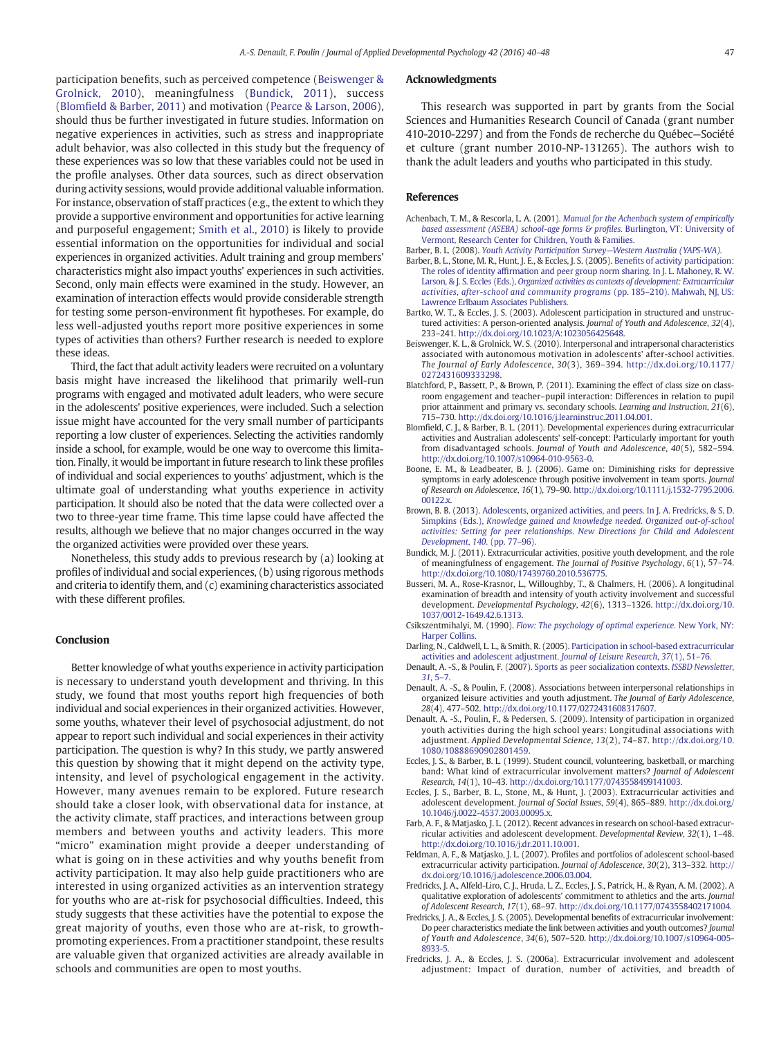<span id="page-7-0"></span>participation benefits, such as perceived competence (Beiswenger & Grolnick, 2010), meaningfulness (Bundick, 2011), success (Blomfield & Barber, 2011) and motivation ([Pearce & Larson, 2006](#page-8-0)), should thus be further investigated in future studies. Information on negative experiences in activities, such as stress and inappropriate adult behavior, was also collected in this study but the frequency of these experiences was so low that these variables could not be used in the profile analyses. Other data sources, such as direct observation during activity sessions, would provide additional valuable information. For instance, observation of staff practices (e.g., the extent to which they provide a supportive environment and opportunities for active learning and purposeful engagement; [Smith et al., 2010\)](#page-8-0) is likely to provide essential information on the opportunities for individual and social experiences in organized activities. Adult training and group members' characteristics might also impact youths' experiences in such activities. Second, only main effects were examined in the study. However, an examination of interaction effects would provide considerable strength for testing some person-environment fit hypotheses. For example, do less well-adjusted youths report more positive experiences in some types of activities than others? Further research is needed to explore these ideas.

Third, the fact that adult activity leaders were recruited on a voluntary basis might have increased the likelihood that primarily well-run programs with engaged and motivated adult leaders, who were secure in the adolescents' positive experiences, were included. Such a selection issue might have accounted for the very small number of participants reporting a low cluster of experiences. Selecting the activities randomly inside a school, for example, would be one way to overcome this limitation. Finally, it would be important in future research to link these profiles of individual and social experiences to youths' adjustment, which is the ultimate goal of understanding what youths experience in activity participation. It should also be noted that the data were collected over a two to three-year time frame. This time lapse could have affected the results, although we believe that no major changes occurred in the way the organized activities were provided over these years.

Nonetheless, this study adds to previous research by (a) looking at profiles of individual and social experiences, (b) using rigorous methods and criteria to identify them, and (c) examining characteristics associated with these different profiles.

#### **Conclusion**

Better knowledge of what youths experience in activity participation is necessary to understand youth development and thriving. In this study, we found that most youths report high frequencies of both individual and social experiences in their organized activities. However, some youths, whatever their level of psychosocial adjustment, do not appear to report such individual and social experiences in their activity participation. The question is why? In this study, we partly answered this question by showing that it might depend on the activity type, intensity, and level of psychological engagement in the activity. However, many avenues remain to be explored. Future research should take a closer look, with observational data for instance, at the activity climate, staff practices, and interactions between group members and between youths and activity leaders. This more "micro" examination might provide a deeper understanding of what is going on in these activities and why youths benefit from activity participation. It may also help guide practitioners who are interested in using organized activities as an intervention strategy for youths who are at-risk for psychosocial difficulties. Indeed, this study suggests that these activities have the potential to expose the great majority of youths, even those who are at-risk, to growthpromoting experiences. From a practitioner standpoint, these results are valuable given that organized activities are already available in schools and communities are open to most youths.

#### Acknowledgments

This research was supported in part by grants from the Social Sciences and Humanities Research Council of Canada (grant number 410-2010-2297) and from the Fonds de recherche du Québec—Société et culture (grant number 2010-NP-131265). The authors wish to thank the adult leaders and youths who participated in this study.

#### References

- Achenbach, T. M., & Rescorla, L. A. (2001). [Manual for the Achenbach system of empirically](http://refhub.elsevier.com/S0193-3973(15)00105-7/rf0005) [based assessment \(ASEBA\) school-age forms & pro](http://refhub.elsevier.com/S0193-3973(15)00105-7/rf0005)files. Burlington, VT: University of [Vermont, Research Center for Children, Youth & Families.](http://refhub.elsevier.com/S0193-3973(15)00105-7/rf0005)
- Barber, B. L. (2008). [Youth Activity Participation Survey](http://refhub.elsevier.com/S0193-3973(15)00105-7/rf0010)—Western Australia (YAPS-WA).
- Barber, B. L., Stone, M. R., Hunt, J. E., & Eccles, J. S. (2005). Benefi[ts of activity participation:](http://refhub.elsevier.com/S0193-3973(15)00105-7/rf0015) The roles of identity affi[rmation and peer group norm sharing. In J. L. Mahoney, R. W.](http://refhub.elsevier.com/S0193-3973(15)00105-7/rf0015) Larson, & J. S. Eccles (Eds.), [Organized activities as contexts of development: Extracurricular](http://refhub.elsevier.com/S0193-3973(15)00105-7/rf0015) [activities, after-school and community programs](http://refhub.elsevier.com/S0193-3973(15)00105-7/rf0015) (pp. 185–210). Mahwah, NJ, US: [Lawrence Erlbaum Associates Publishers.](http://refhub.elsevier.com/S0193-3973(15)00105-7/rf0015)
- Bartko, W. T., & Eccles, J. S. (2003). Adolescent participation in structured and unstructured activities: A person-oriented analysis. Journal of Youth and Adolescence, 32(4), 233–241. http://dx.doi.org[/10.1023/A:1023056425648.](http://dx.doi.org/10.1023/A:1023056425648)
- Beiswenger, K. L., & Grolnick, W. S. (2010). Interpersonal and intrapersonal characteristics associated with autonomous motivation in adolescents' after-school activities. The Journal of Early Adolescence, 30(3), 369–394. http://dx.doi.org/[10.1177/](http://dx.doi.org/10.1177/0272431609333298) [0272431609333298](http://dx.doi.org/10.1177/0272431609333298).
- Blatchford, P., Bassett, P., & Brown, P. (2011). Examining the effect of class size on classroom engagement and teacher–pupil interaction: Differences in relation to pupil prior attainment and primary vs. secondary schools. Learning and Instruction, 21(6), 715–730. http://dx.doi.org[/10.1016/j.learninstruc.2011.04.001](http://dx.doi.org/10.1016/j.learninstruc.2011.04.001).
- Blomfield, C. J., & Barber, B. L. (2011). Developmental experiences during extracurricular activities and Australian adolescents' self-concept: Particularly important for youth from disadvantaged schools. Journal of Youth and Adolescence, 40(5), 582–594. http://dx.doi.org[/10.1007/s10964-010-9563-0.](http://dx.doi.org/10.1007/s10964-010-9563-0)
- Boone, E. M., & Leadbeater, B. J. (2006). Game on: Diminishing risks for depressive symptoms in early adolescence through positive involvement in team sports. Journal of Research on Adolescence, 16(1), 79–90. http://dx.doi.org/[10.1111/j.1532-7795.2006.](http://dx.doi.org/10.1111/j.1532-7795.2006.00122.x) [00122.x](http://dx.doi.org/10.1111/j.1532-7795.2006.00122.x).
- Brown, B. B. (2013). [Adolescents, organized activities, and peers. In J. A. Fredricks, & S. D.](http://refhub.elsevier.com/S0193-3973(15)00105-7/rf0280) Simpkins (Eds.), [Knowledge gained and knowledge needed. Organized out-of-school](http://refhub.elsevier.com/S0193-3973(15)00105-7/rf0280) [activities: Setting for peer relationships. New Directions for Child and Adolescent](http://refhub.elsevier.com/S0193-3973(15)00105-7/rf0280) [Development](http://refhub.elsevier.com/S0193-3973(15)00105-7/rf0280), 140. (pp. 77–96).
- Bundick, M. J. (2011). Extracurricular activities, positive youth development, and the role of meaningfulness of engagement. The Journal of Positive Psychology, 6(1), 57–74. http://dx.doi.org[/10.1080/17439760.2010.536775.](http://dx.doi.org/10.1080/17439760.2010.536775)
- Busseri, M. A., Rose-Krasnor, L., Willoughby, T., & Chalmers, H. (2006). A longitudinal examination of breadth and intensity of youth activity involvement and successful development. Developmental Psychology, 42(6), 1313–1326. http://dx.doi.org/[10.](http://dx.doi.org/10.1037/0012-1649.42.6.1313) [1037/0012-1649.42.6.1313.](http://dx.doi.org/10.1037/0012-1649.42.6.1313)
- Csikszentmihalyi, M. (1990). [Flow: The psychology of optimal experience.](http://refhub.elsevier.com/S0193-3973(15)00105-7/rf0060) New York, NY: [Harper Collins.](http://refhub.elsevier.com/S0193-3973(15)00105-7/rf0060)
- Darling, N., Caldwell, L. L., & Smith, R. (2005). [Participation in school-based extracurricular](http://refhub.elsevier.com/S0193-3973(15)00105-7/rf0065) [activities and adolescent adjustment.](http://refhub.elsevier.com/S0193-3973(15)00105-7/rf0065) Journal of Leisure Research, 37(1), 51–76.
- Denault, A. -S., & Poulin, F. (2007). [Sports as peer socialization contexts.](http://refhub.elsevier.com/S0193-3973(15)00105-7/rf0070) ISSBD Newsletter, 31[, 5](http://refhub.elsevier.com/S0193-3973(15)00105-7/rf0070)–7.
- Denault, A. -S., & Poulin, F. (2008). Associations between interpersonal relationships in organized leisure activities and youth adjustment. The Journal of Early Adolescence, 28(4), 477–502. http://dx.doi.org/[10.1177/0272431608317607](http://dx.doi.org/10.1177/0272431608317607).
- Denault, A. -S., Poulin, F., & Pedersen, S. (2009). Intensity of participation in organized youth activities during the high school years: Longitudinal associations with adjustment. Applied Developmental Science, 13(2), 74–87. http://dx.doi.org[/10.](http://dx.doi.org/10.1080/10888690902801459) [1080/10888690902801459](http://dx.doi.org/10.1080/10888690902801459).
- Eccles, J. S., & Barber, B. L. (1999). Student council, volunteering, basketball, or marching band: What kind of extracurricular involvement matters? Journal of Adolescent Research, 14(1), 10–43. http://dx.doi.org/[10.1177/0743558499141003](http://dx.doi.org/10.1177/0743558499141003).
- Eccles, J. S., Barber, B. L., Stone, M., & Hunt, J. (2003). Extracurricular activities and adolescent development. Journal of Social Issues, 59(4), 865–889. http://dx.doi.org/ [10.1046/j.0022-4537.2003.00095.x.](http://dx.doi.org/10.1046/j.0022-4537.2003.00095.x)
- Farb, A. F., & Matjasko, J. L. (2012). Recent advances in research on school-based extracurricular activities and adolescent development. Developmental Review, 32(1), 1–48. http://dx.doi.org[/10.1016/j.dr.2011.10.001.](http://dx.doi.org/10.1016/j.dr.2011.10.001)
- Feldman, A. F., & Matjasko, J. L. (2007). Profiles and portfolios of adolescent school-based extracurricular activity participation. Journal of Adolescence, 30(2), 313–332. http:// dx.doi.org/[10.1016/j.adolescence.2006.03.004.](http://dx.doi.org/10.1016/j.adolescence.2006.03.004)
- Fredricks, J. A., Alfeld-Liro, C. J., Hruda, L. Z., Eccles, J. S., Patrick, H., & Ryan, A. M. (2002). A qualitative exploration of adolescents' commitment to athletics and the arts. Journal of Adolescent Research, 17(1), 68–97. http://dx.doi.org[/10.1177/0743558402171004](http://dx.doi.org/10.1177/0743558402171004).
- Fredricks, J. A., & Eccles, J. S. (2005). Developmental benefits of extracurricular involvement: Do peer characteristics mediate the link between activities and youth outcomes? Journal of Youth and Adolescence, 34(6), 507–520. http://dx.doi.org/[10.1007/s10964-005-](http://dx.doi.org/10.1007/s10964-005-8933-5) [8933-5](http://dx.doi.org/10.1007/s10964-005-8933-5).
- Fredricks, J. A., & Eccles, J. S. (2006a). Extracurricular involvement and adolescent adjustment: Impact of duration, number of activities, and breadth of